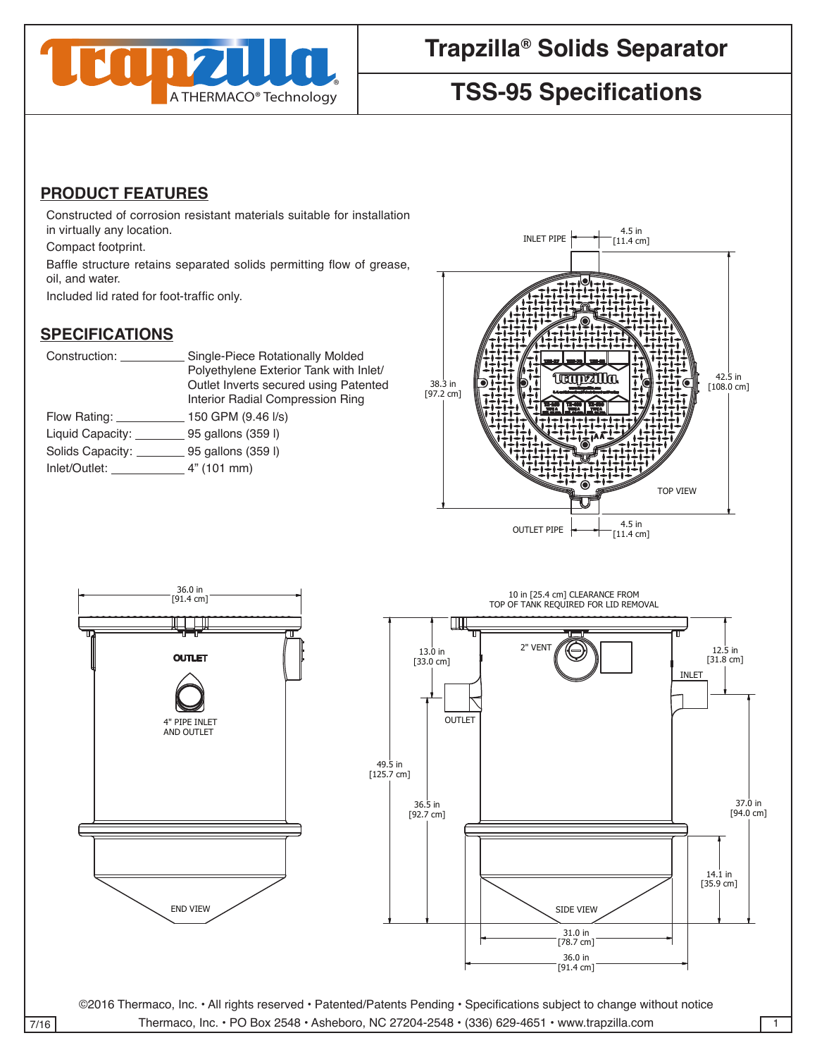

# **Trapzilla® Solids Separator**

# **TSS-95 Specifications**

## **PRODUCT FEATURES**

Constructed of corrosion resistant materials suitable for installation in virtually any location.

Compact footprint.

4

Baffle structure retains separated solids permitting flow of grease, oil, and water.

Included lid rated for foot-traffic only.

#### **SPECIFICATIONS**

| Construction:             | Single-Piece Rotationally Molded<br>Polyethylene Exterior Tank with Inlet/<br>Outlet Inverts secured using Patented<br>Interior Radial Compression Ring |
|---------------------------|---------------------------------------------------------------------------------------------------------------------------------------------------------|
| Flow Rating: _________    | 150 GPM (9.46 I/s)                                                                                                                                      |
| Liquid Capacity:          | 95 gallons (359 l)                                                                                                                                      |
| Solids Capacity: ______   | 95 gallons (359 l)                                                                                                                                      |
| Inlet/Outlet: 4" (101 mm) |                                                                                                                                                         |
|                           |                                                                                                                                                         |





7/16 Thermaco, Inc. • PO Box 2548 • Asheboro, NC 27204-2548 • (336) 629-4651 • www.trapzilla.com

WEITTEN CONSENT FROM THE RMACO, INC. POSSESSION OF THIS POSSESSION OF THIS POSSESSION OF THE RIGHT TO MANUFACTURE.

WEITTEN CONSENT FROM THE RMACO, INC. POSSESSION OF THIS DRAWING DOES NOT CONSTITUTE THE RIGHT TO MANUFACTURE.

PART NO. <sup>C</sup>

36.5 in [92.7 cm]

13.0 in [33.0 cm]